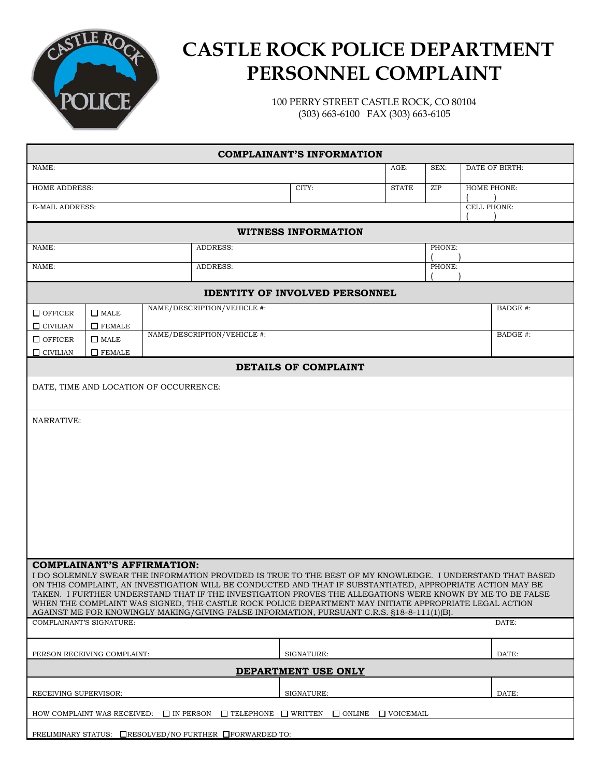

## **CASTLE ROCK POLICE DEPARTMENT PERSONNEL COMPLAINT**

100 PERRY STREET CASTLE ROCK, CO 80104 (303) 663-6100 FAX (303) 663-6105

| <b>COMPLAINANT'S INFORMATION</b>                                                                                                                                                                                    |                              |  |                                       |            |              |      |                    |          |  |
|---------------------------------------------------------------------------------------------------------------------------------------------------------------------------------------------------------------------|------------------------------|--|---------------------------------------|------------|--------------|------|--------------------|----------|--|
| NAME:                                                                                                                                                                                                               |                              |  |                                       |            | AGE:         | SEX: | DATE OF BIRTH:     |          |  |
| <b>HOME ADDRESS:</b>                                                                                                                                                                                                |                              |  |                                       | CITY:      | <b>STATE</b> | ZIP  | HOME PHONE:        |          |  |
| E-MAIL ADDRESS:                                                                                                                                                                                                     |                              |  |                                       |            |              |      | <b>CELL PHONE:</b> |          |  |
|                                                                                                                                                                                                                     |                              |  |                                       |            |              |      |                    |          |  |
| <b>WITNESS INFORMATION</b>                                                                                                                                                                                          |                              |  |                                       |            |              |      |                    |          |  |
| NAME:                                                                                                                                                                                                               |                              |  | <b>ADDRESS:</b>                       |            |              |      | PHONE:             |          |  |
| NAME:                                                                                                                                                                                                               |                              |  | PHONE:<br><b>ADDRESS:</b>             |            |              |      |                    |          |  |
|                                                                                                                                                                                                                     |                              |  | <b>IDENTITY OF INVOLVED PERSONNEL</b> |            |              |      |                    |          |  |
| NAME/DESCRIPTION/VEHICLE #:<br>BADGE #:                                                                                                                                                                             |                              |  |                                       |            |              |      |                    |          |  |
| $\Box$ OFFICER                                                                                                                                                                                                      | $\Box$ MALE                  |  |                                       |            |              |      |                    |          |  |
| $\Box$ CIVILIAN<br>$\Box$ OFFICER                                                                                                                                                                                   | $\Box$ FEMALE<br>$\Box$ MALE |  | NAME/DESCRIPTION/VEHICLE #:           |            |              |      |                    | BADGE #: |  |
| $\Box$ CIVILIAN                                                                                                                                                                                                     | $\Box$ FEMALE                |  |                                       |            |              |      |                    |          |  |
| DETAILS OF COMPLAINT                                                                                                                                                                                                |                              |  |                                       |            |              |      |                    |          |  |
| DATE, TIME AND LOCATION OF OCCURRENCE:                                                                                                                                                                              |                              |  |                                       |            |              |      |                    |          |  |
|                                                                                                                                                                                                                     |                              |  |                                       |            |              |      |                    |          |  |
| NARRATIVE:                                                                                                                                                                                                          |                              |  |                                       |            |              |      |                    |          |  |
|                                                                                                                                                                                                                     |                              |  |                                       |            |              |      |                    |          |  |
|                                                                                                                                                                                                                     |                              |  |                                       |            |              |      |                    |          |  |
|                                                                                                                                                                                                                     |                              |  |                                       |            |              |      |                    |          |  |
|                                                                                                                                                                                                                     |                              |  |                                       |            |              |      |                    |          |  |
|                                                                                                                                                                                                                     |                              |  |                                       |            |              |      |                    |          |  |
|                                                                                                                                                                                                                     |                              |  |                                       |            |              |      |                    |          |  |
|                                                                                                                                                                                                                     |                              |  |                                       |            |              |      |                    |          |  |
|                                                                                                                                                                                                                     |                              |  |                                       |            |              |      |                    |          |  |
|                                                                                                                                                                                                                     |                              |  |                                       |            |              |      |                    |          |  |
| <b>COMPLAINANT'S AFFIRMATION:</b><br>I DO SOLEMNLY SWEAR THE INFORMATION PROVIDED IS TRUE TO THE BEST OF MY KNOWLEDGE. I UNDERSTAND THAT BASED                                                                      |                              |  |                                       |            |              |      |                    |          |  |
| ON THIS COMPLAINT, AN INVESTIGATION WILL BE CONDUCTED AND THAT IF SUBSTANTIATED, APPROPRIATE ACTION MAY BE                                                                                                          |                              |  |                                       |            |              |      |                    |          |  |
| TAKEN. I FURTHER UNDERSTAND THAT IF THE INVESTIGATION PROVES THE ALLEGATIONS WERE KNOWN BY ME TO BE FALSE<br>WHEN THE COMPLAINT WAS SIGNED, THE CASTLE ROCK POLICE DEPARTMENT MAY INITIATE APPROPRIATE LEGAL ACTION |                              |  |                                       |            |              |      |                    |          |  |
| AGAINST ME FOR KNOWINGLY MAKING/GIVING FALSE INFORMATION, PURSUANT C.R.S. §18-8-111(1)(B).<br>COMPLAINANT'S SIGNATURE:                                                                                              |                              |  |                                       |            |              |      |                    |          |  |
|                                                                                                                                                                                                                     |                              |  |                                       |            |              |      |                    | DATE:    |  |
|                                                                                                                                                                                                                     |                              |  |                                       | SIGNATURE: |              |      |                    | DATE:    |  |
| PERSON RECEIVING COMPLAINT:<br>DEPARTMENT USE ONLY                                                                                                                                                                  |                              |  |                                       |            |              |      |                    |          |  |
|                                                                                                                                                                                                                     |                              |  |                                       |            |              |      |                    |          |  |
| RECEIVING SUPERVISOR:                                                                                                                                                                                               |                              |  |                                       | SIGNATURE: |              |      |                    | DATE:    |  |
| $\Box$ IN PERSON<br>$\Box$ TELEPHONE $\Box$ WRITTEN<br>$\Box$ ONLINE<br>HOW COMPLAINT WAS RECEIVED:<br>$\Box$ VOICEMAIL                                                                                             |                              |  |                                       |            |              |      |                    |          |  |
| PRELIMINARY STATUS: □RESOLVED/NO FURTHER □ FORWARDED TO:                                                                                                                                                            |                              |  |                                       |            |              |      |                    |          |  |